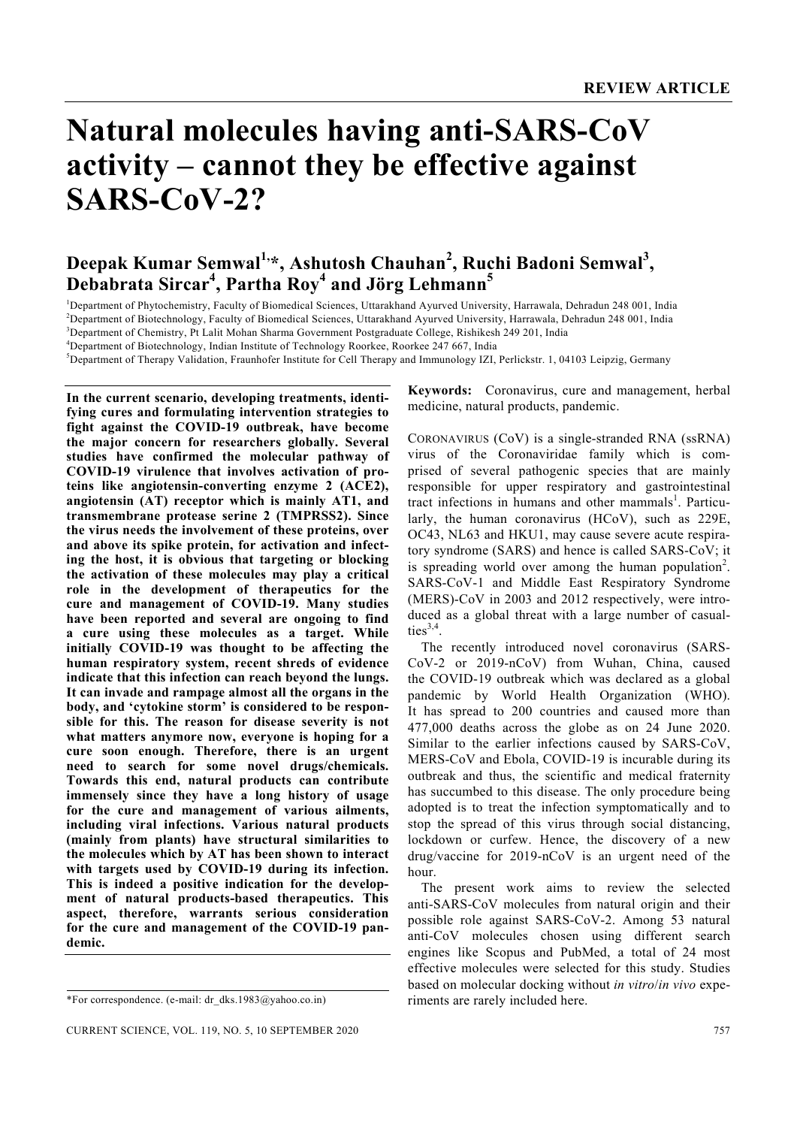# **Natural molecules having anti-SARS-CoV activity – cannot they be effective against SARS-CoV-2?**

# **Deepak Kumar Semwal1,\*, Ashutosh Chauhan2 , Ruchi Badoni Semwal<sup>3</sup> , Debabrata Sircar<sup>4</sup> , Partha Roy<sup>4</sup> and Jörg Lehmann<sup>5</sup>**

<sup>1</sup>Department of Phytochemistry, Faculty of Biomedical Sciences, Uttarakhand Ayurved University, Harrawala, Dehradun 248 001, India <sup>2</sup><br><sup>2</sup>Department of Biotechnology, Faculty of Biomedical Sciences, Uttarakhand Ayurved Un <sup>2</sup>Department of Biotechnology, Faculty of Biomedical Sciences, Uttarakhand Ayurved University, Harrawala, Dehradun 248 001, India

3 Department of Chemistry, Pt Lalit Mohan Sharma Government Postgraduate College, Rishikesh 249 201, India

<sup>4</sup> Department of Biotechnology, Indian Institute of Technology Roorkee, Roorkee 247 667, India<br><sup>5</sup> Department of Therany Validation, Fraunhofer Institute for Call Therany and Immunology IZI

<sup>5</sup>Department of Therapy Validation, Fraunhofer Institute for Cell Therapy and Immunology IZI, Perlickstr. 1, 04103 Leipzig, Germany

**In the current scenario, developing treatments, identifying cures and formulating intervention strategies to fight against the COVID-19 outbreak, have become the major concern for researchers globally. Several studies have confirmed the molecular pathway of COVID-19 virulence that involves activation of proteins like angiotensin-converting enzyme 2 (ACE2), angiotensin (AT) receptor which is mainly AT1, and transmembrane protease serine 2 (TMPRSS2). Since the virus needs the involvement of these proteins, over and above its spike protein, for activation and infecting the host, it is obvious that targeting or blocking the activation of these molecules may play a critical role in the development of therapeutics for the cure and management of COVID-19. Many studies have been reported and several are ongoing to find a cure using these molecules as a target. While initially COVID-19 was thought to be affecting the human respiratory system, recent shreds of evidence indicate that this infection can reach beyond the lungs. It can invade and rampage almost all the organs in the body, and 'cytokine storm' is considered to be responsible for this. The reason for disease severity is not what matters anymore now, everyone is hoping for a cure soon enough. Therefore, there is an urgent need to search for some novel drugs/chemicals. Towards this end, natural products can contribute immensely since they have a long history of usage for the cure and management of various ailments, including viral infections. Various natural products (mainly from plants) have structural similarities to the molecules which by AT has been shown to interact with targets used by COVID-19 during its infection. This is indeed a positive indication for the development of natural products-based therapeutics. This aspect, therefore, warrants serious consideration for the cure and management of the COVID-19 pandemic.** 

**Keywords:** Coronavirus, cure and management, herbal medicine, natural products, pandemic.

CORONAVIRUS (CoV) is a single-stranded RNA (ssRNA) virus of the Coronaviridae family which is comprised of several pathogenic species that are mainly responsible for upper respiratory and gastrointestinal tract infections in humans and other mammals<sup>1</sup>. Particularly, the human coronavirus (HCoV), such as 229E, OC43, NL63 and HKU1, may cause severe acute respiratory syndrome (SARS) and hence is called SARS-CoV; it is spreading world over among the human population<sup>2</sup>. SARS-CoV-1 and Middle East Respiratory Syndrome (MERS)-CoV in 2003 and 2012 respectively, were introduced as a global threat with a large number of casualties $3,4$ .

 The recently introduced novel coronavirus (SARS-CoV-2 or 2019-nCoV) from Wuhan, China, caused the COVID-19 outbreak which was declared as a global pandemic by World Health Organization (WHO). It has spread to 200 countries and caused more than 477,000 deaths across the globe as on 24 June 2020. Similar to the earlier infections caused by SARS-CoV, MERS-CoV and Ebola, COVID-19 is incurable during its outbreak and thus, the scientific and medical fraternity has succumbed to this disease. The only procedure being adopted is to treat the infection symptomatically and to stop the spread of this virus through social distancing, lockdown or curfew. Hence, the discovery of a new drug/vaccine for 2019-nCoV is an urgent need of the hour.

 The present work aims to review the selected anti-SARS-CoV molecules from natural origin and their possible role against SARS-CoV-2. Among 53 natural anti-CoV molecules chosen using different search engines like Scopus and PubMed, a total of 24 most effective molecules were selected for this study. Studies based on molecular docking without *in vitro*/*in vivo* experiments are rarely included here.

<sup>\*</sup>For correspondence. (e-mail: dr\_dks.1983@yahoo.co.in)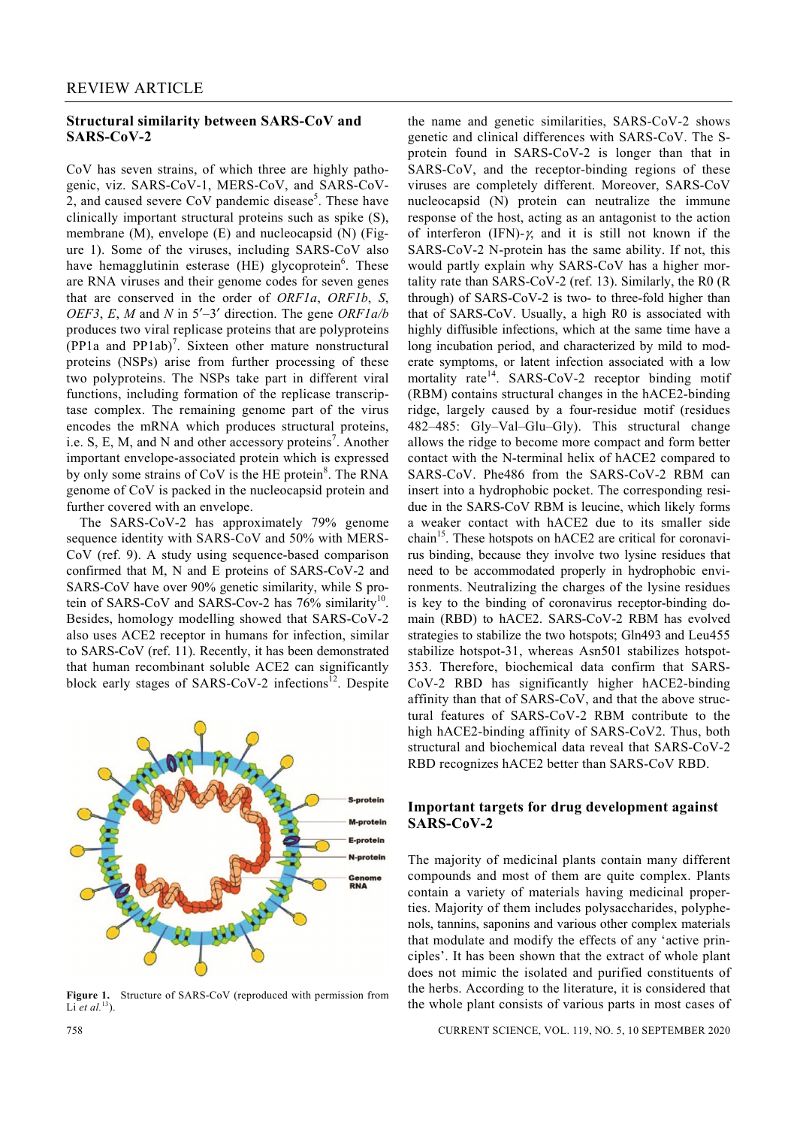# **Structural similarity between SARS-CoV and SARS-CoV-2**

CoV has seven strains, of which three are highly pathogenic, viz. SARS-CoV-1, MERS-CoV, and SARS-CoV-2, and caused severe CoV pandemic disease<sup>5</sup>. These have clinically important structural proteins such as spike (S), membrane (M), envelope (E) and nucleocapsid (N) (Figure 1). Some of the viruses, including SARS-CoV also have hemagglutinin esterase (HE) glycoprotein<sup>6</sup>. These are RNA viruses and their genome codes for seven genes that are conserved in the order of *ORF1a*, *ORF1b*, *S*, *OEF3*, *E*, *M* and *N* in 5′–3′ direction. The gene *ORF1a/b* produces two viral replicase proteins that are polyproteins (PP1a and PP1ab)<sup>7</sup>. Sixteen other mature nonstructural proteins (NSPs) arise from further processing of these two polyproteins. The NSPs take part in different viral functions, including formation of the replicase transcriptase complex. The remaining genome part of the virus encodes the mRNA which produces structural proteins, i.e. S, E, M, and N and other accessory proteins<sup>7</sup>. Another important envelope-associated protein which is expressed by only some strains of CoV is the HE protein<sup>8</sup>. The RNA genome of CoV is packed in the nucleocapsid protein and further covered with an envelope.

 The SARS-CoV-2 has approximately 79% genome sequence identity with SARS-CoV and 50% with MERS-CoV (ref. 9). A study using sequence-based comparison confirmed that M, N and E proteins of SARS-CoV-2 and SARS-CoV have over 90% genetic similarity, while S protein of SARS-CoV and SARS-Cov-2 has  $76\%$  similarity<sup>10</sup>. Besides, homology modelling showed that SARS-CoV-2 also uses ACE2 receptor in humans for infection, similar to SARS-CoV (ref. 11). Recently, it has been demonstrated that human recombinant soluble ACE2 can significantly block early stages of SARS-CoV-2 infections<sup>12</sup>. Despite



**Figure 1.** Structure of SARS-CoV (reproduced with permission from Li *et al.*<sup>13</sup>).

the name and genetic similarities, SARS-CoV-2 shows genetic and clinical differences with SARS-CoV. The Sprotein found in SARS-CoV-2 is longer than that in SARS-CoV, and the receptor-binding regions of these viruses are completely different. Moreover, SARS-CoV nucleocapsid (N) protein can neutralize the immune response of the host, acting as an antagonist to the action of interferon (IFN)- $\gamma$ , and it is still not known if the SARS-CoV-2 N-protein has the same ability. If not, this would partly explain why SARS-CoV has a higher mortality rate than SARS-CoV-2 (ref. 13). Similarly, the R0 (R through) of SARS-CoV-2 is two- to three-fold higher than that of SARS-CoV. Usually, a high R0 is associated with highly diffusible infections, which at the same time have a long incubation period, and characterized by mild to moderate symptoms, or latent infection associated with a low mortality rate<sup>14</sup>. SARS-CoV-2 receptor binding motif (RBM) contains structural changes in the hACE2-binding ridge, largely caused by a four-residue motif (residues 482–485: Gly–Val–Glu–Gly). This structural change allows the ridge to become more compact and form better contact with the N-terminal helix of hACE2 compared to SARS-CoV. Phe486 from the SARS-CoV-2 RBM can insert into a hydrophobic pocket. The corresponding residue in the SARS-CoV RBM is leucine, which likely forms a weaker contact with hACE2 due to its smaller side chain<sup>15</sup>. These hotspots on hACE2 are critical for coronavirus binding, because they involve two lysine residues that need to be accommodated properly in hydrophobic environments. Neutralizing the charges of the lysine residues is key to the binding of coronavirus receptor-binding domain (RBD) to hACE2. SARS-CoV-2 RBM has evolved strategies to stabilize the two hotspots; Gln493 and Leu455 stabilize hotspot-31, whereas Asn501 stabilizes hotspot-353. Therefore, biochemical data confirm that SARS-CoV-2 RBD has significantly higher hACE2-binding affinity than that of SARS-CoV, and that the above structural features of SARS-CoV-2 RBM contribute to the high hACE2-binding affinity of SARS-CoV2. Thus, both structural and biochemical data reveal that SARS-CoV-2 RBD recognizes hACE2 better than SARS-CoV RBD.

# **Important targets for drug development against SARS-CoV-2**

The majority of medicinal plants contain many different compounds and most of them are quite complex. Plants contain a variety of materials having medicinal properties. Majority of them includes polysaccharides, polyphenols, tannins, saponins and various other complex materials that modulate and modify the effects of any 'active principles'. It has been shown that the extract of whole plant does not mimic the isolated and purified constituents of the herbs. According to the literature, it is considered that the whole plant consists of various parts in most cases of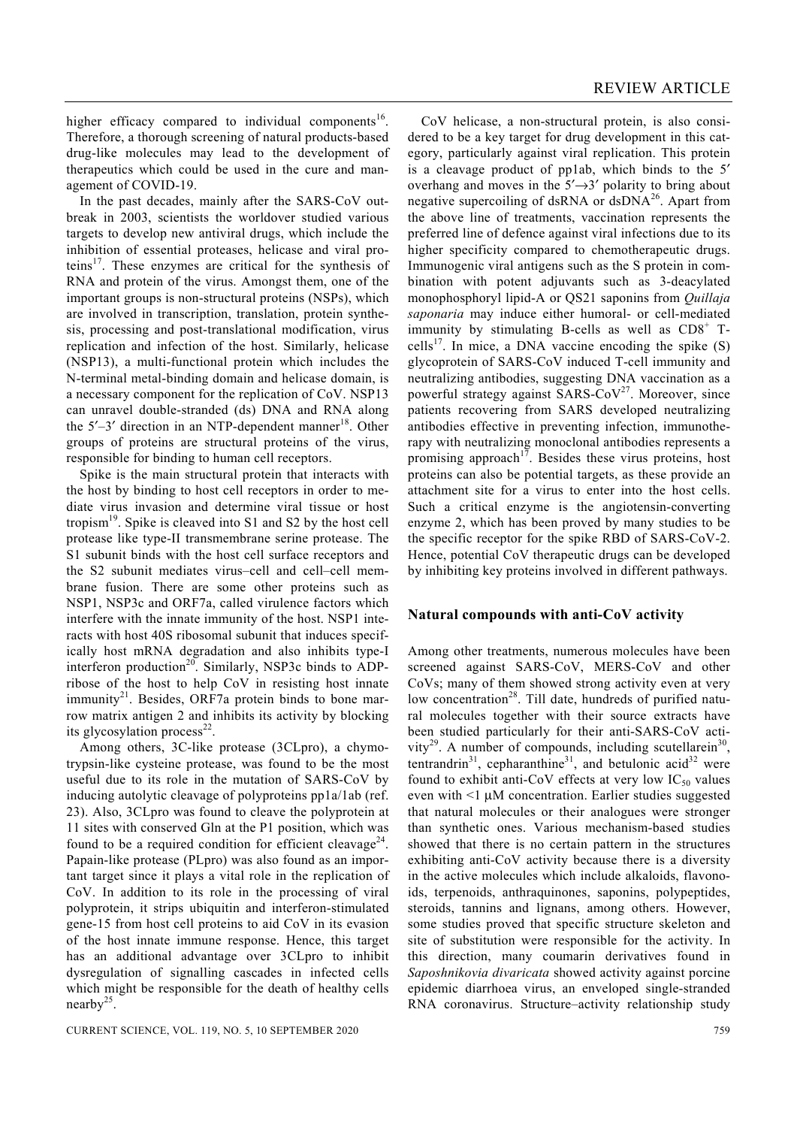higher efficacy compared to individual components<sup>16</sup>. Therefore, a thorough screening of natural products-based drug-like molecules may lead to the development of therapeutics which could be used in the cure and management of COVID-19.

 In the past decades, mainly after the SARS-CoV outbreak in 2003, scientists the worldover studied various targets to develop new antiviral drugs, which include the inhibition of essential proteases, helicase and viral proteins<sup>17</sup>. These enzymes are critical for the synthesis of RNA and protein of the virus. Amongst them, one of the important groups is non-structural proteins (NSPs), which are involved in transcription, translation, protein synthesis, processing and post-translational modification, virus replication and infection of the host. Similarly, helicase (NSP13), a multi-functional protein which includes the N-terminal metal-binding domain and helicase domain, is a necessary component for the replication of CoV. NSP13 can unravel double-stranded (ds) DNA and RNA along the  $5'-3'$  direction in an NTP-dependent manner<sup>18</sup>. Other groups of proteins are structural proteins of the virus, responsible for binding to human cell receptors.

 Spike is the main structural protein that interacts with the host by binding to host cell receptors in order to mediate virus invasion and determine viral tissue or host tropism<sup>19</sup>. Spike is cleaved into S1 and S2 by the host cell protease like type-II transmembrane serine protease. The S1 subunit binds with the host cell surface receptors and the S2 subunit mediates virus–cell and cell–cell membrane fusion. There are some other proteins such as NSP1, NSP3c and ORF7a, called virulence factors which interfere with the innate immunity of the host. NSP1 interacts with host 40S ribosomal subunit that induces specifically host mRNA degradation and also inhibits type-I interferon production<sup>20</sup>. Similarly, NSP3c binds to ADPribose of the host to help CoV in resisting host innate  $immunity<sup>21</sup>$ . Besides, ORF7a protein binds to bone marrow matrix antigen 2 and inhibits its activity by blocking its glycosylation process<sup>22</sup>.

Among others, 3C-like protease (3CLpro), a chymotrypsin-like cysteine protease, was found to be the most useful due to its role in the mutation of SARS-CoV by inducing autolytic cleavage of polyproteins pp1a/1ab (ref. 23). Also, 3CLpro was found to cleave the polyprotein at 11 sites with conserved Gln at the P1 position, which was found to be a required condition for efficient cleavage<sup>24</sup>. Papain-like protease (PLpro) was also found as an important target since it plays a vital role in the replication of CoV. In addition to its role in the processing of viral polyprotein, it strips ubiquitin and interferon-stimulated gene-15 from host cell proteins to aid CoV in its evasion of the host innate immune response. Hence, this target has an additional advantage over 3CLpro to inhibit dysregulation of signalling cascades in infected cells which might be responsible for the death of healthy cells nearby $25$ .

 CoV helicase, a non-structural protein, is also considered to be a key target for drug development in this category, particularly against viral replication. This protein is a cleavage product of pp1ab, which binds to the 5′ overhang and moves in the  $5' \rightarrow 3'$  polarity to bring about negative supercoiling of dsRNA or dsDNA<sup>26</sup>. Apart from the above line of treatments, vaccination represents the preferred line of defence against viral infections due to its higher specificity compared to chemotherapeutic drugs. Immunogenic viral antigens such as the S protein in combination with potent adjuvants such as 3-deacylated monophosphoryl lipid-A or QS21 saponins from *Quillaja saponaria* may induce either humoral- or cell-mediated immunity by stimulating B-cells as well as  $CDS<sup>+</sup> T<sub>+</sub>$ cells<sup>17</sup>. In mice, a DNA vaccine encoding the spike  $(S)$ glycoprotein of SARS-CoV induced T-cell immunity and neutralizing antibodies, suggesting DNA vaccination as a powerful strategy against SARS- $CoV<sup>27</sup>$ . Moreover, since patients recovering from SARS developed neutralizing antibodies effective in preventing infection, immunotherapy with neutralizing monoclonal antibodies represents a promising approach<sup>17</sup>. Besides these virus proteins, host proteins can also be potential targets, as these provide an attachment site for a virus to enter into the host cells. Such a critical enzyme is the angiotensin-converting enzyme 2, which has been proved by many studies to be the specific receptor for the spike RBD of SARS-CoV-2. Hence, potential CoV therapeutic drugs can be developed by inhibiting key proteins involved in different pathways.

# **Natural compounds with anti-CoV activity**

Among other treatments, numerous molecules have been screened against SARS-CoV, MERS-CoV and other CoVs; many of them showed strong activity even at very low concentration<sup>28</sup>. Till date, hundreds of purified natural molecules together with their source extracts have been studied particularly for their anti-SARS-CoV activity<sup>29</sup>. A number of compounds, including scutellarein<sup>30</sup>. tentrandrin<sup>31</sup>, cepharanthine<sup>31</sup>, and betulonic acid<sup>32</sup> were found to exhibit anti-CoV effects at very low  $IC_{50}$  values even with <1 μM concentration. Earlier studies suggested that natural molecules or their analogues were stronger than synthetic ones. Various mechanism-based studies showed that there is no certain pattern in the structures exhibiting anti-CoV activity because there is a diversity in the active molecules which include alkaloids, flavonoids, terpenoids, anthraquinones, saponins, polypeptides, steroids, tannins and lignans, among others. However, some studies proved that specific structure skeleton and site of substitution were responsible for the activity. In this direction, many coumarin derivatives found in *Saposhnikovia divaricata* showed activity against porcine epidemic diarrhoea virus, an enveloped single-stranded RNA coronavirus. Structure–activity relationship study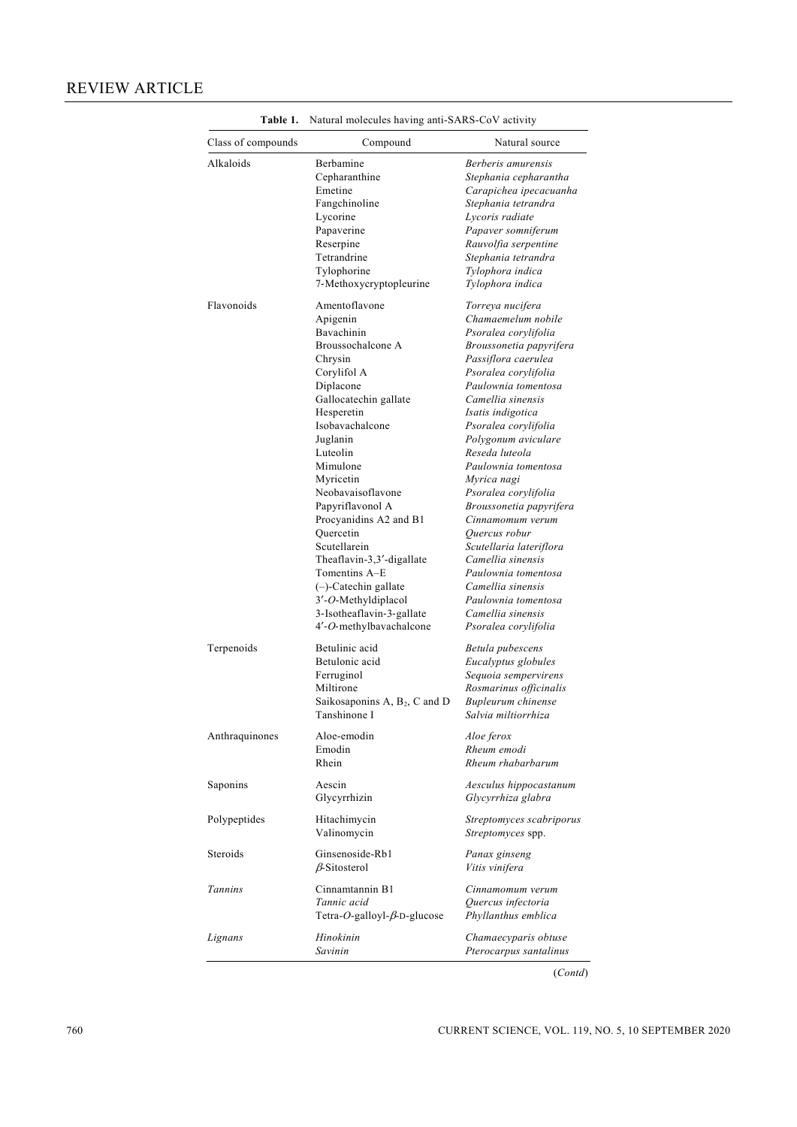| Class of compounds | Compound                                  | Natural source                                |
|--------------------|-------------------------------------------|-----------------------------------------------|
| Alkaloids          | Berbamine                                 | Berberis amurensis                            |
|                    | Cepharanthine                             | Stephania cepharantha                         |
|                    | Emetine                                   | Carapichea ipecacuanha                        |
|                    | Fangchinoline                             | Stephania tetrandra                           |
|                    | Lycorine                                  | Lycoris radiate                               |
|                    | Papaverine                                | Papaver somniferum                            |
|                    | Reserpine                                 | Rauvolfia serpentine                          |
|                    | Tetrandrine                               | Stephania tetrandra                           |
|                    | Tylophorine                               | Tylophora indica                              |
|                    | 7-Methoxycryptopleurine                   | Tylophora indica                              |
| Flavonoids         | Amentoflavone                             | Torreya nucifera                              |
|                    | Apigenin                                  | Chamaemelum nobile                            |
|                    | Bavachinin                                | Psoralea corylifolia                          |
|                    | Broussochalcone A                         |                                               |
|                    |                                           | Broussonetia papyrifera                       |
|                    | Chrysin                                   | Passiflora caerulea                           |
|                    | Corylifol A                               | Psoralea corylifolia                          |
|                    | Diplacone                                 | Paulownia tomentosa                           |
|                    | Gallocatechin gallate                     | Camellia sinensis                             |
|                    | Hesperetin                                | Isatis indigotica                             |
|                    | Isobavachalcone                           | Psoralea corylifolia                          |
|                    | Juglanin                                  | Polygonum aviculare                           |
|                    | Luteolin                                  | Reseda luteola                                |
|                    | Mimulone                                  | Paulownia tomentosa                           |
|                    | Myricetin                                 | Myrica nagi                                   |
|                    | Neobavaisoflavone                         | Psoralea corylifolia                          |
|                    | Papyriflavonol A                          |                                               |
|                    |                                           | Broussonetia papyrifera                       |
|                    | Procyanidins A2 and B1                    | Cinnamomum verum                              |
|                    | Quercetin                                 | Quercus robur                                 |
|                    | Scutellarein                              | Scutellaria lateriflora                       |
|                    | Theaflavin-3,3'-digallate                 | Camellia sinensis                             |
|                    | Tomentins A-E                             | Paulownia tomentosa                           |
|                    | (-)-Catechin gallate                      | Camellia sinensis                             |
|                    | 3'-O-Methyldiplacol                       | Paulownia tomentosa                           |
|                    | 3-Isotheaflavin-3-gallate                 | Camellia sinensis                             |
|                    | 4'-O-methylbavachalcone                   | Psoralea corylifolia                          |
| Terpenoids         | Betulinic acid                            | Betula pubescens                              |
|                    | Betulonic acid                            | Eucalyptus globules                           |
|                    | Ferruginol                                | Sequoia sempervirens                          |
|                    | Miltirone                                 | Rosmarinus officinalis                        |
|                    | Saikosaponins A, B <sub>2</sub> , C and D | Bupleurum chinense                            |
|                    | Tanshinone I                              | Salvia miltiorrhiza                           |
| Anthraquinones     | Aloe-emodin                               | Aloe ferox                                    |
|                    | Emodin                                    | Rheum emodi                                   |
|                    | Rhein                                     | Rheum rhabarbarum                             |
| Saponins           | Aescin                                    | Aesculus hippocastanum                        |
|                    | Glycyrrhizin                              | Glycyrrhiza glabra                            |
|                    |                                           |                                               |
| Polypeptides       | Hitachimycin<br>Valinomycin               | Streptomyces scabriporus<br>Streptomyces spp. |
| Steroids           | Ginsenoside-Rb1<br>$\beta$ -Sitosterol    | Panax ginseng<br>Vitis vinifera               |
| Tannins            | Cinnamtannin B1                           | Cinnamomum verum                              |
|                    |                                           |                                               |
|                    | Tannic acid                               | Quercus infectoria                            |
|                    | Tetra-O-galloyl- $\beta$ -D-glucose       | Phyllanthus emblica                           |
| Lignans            | Hinokinin                                 | Chamaecyparis obtuse                          |
|                    |                                           |                                               |

**Table 1.** Natural molecules having anti-SARS-CoV activity

(*Contd*)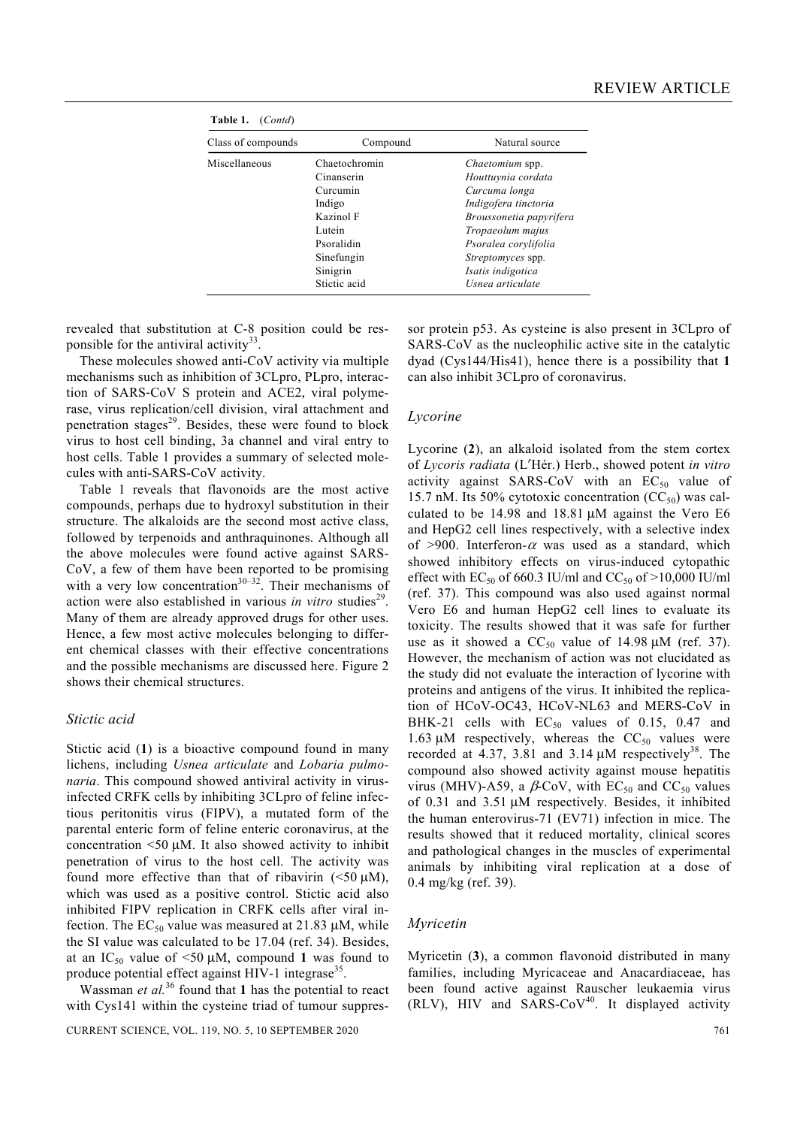| Table 1.<br>(Contd) |               |                          |
|---------------------|---------------|--------------------------|
| Class of compounds  | Compound      | Natural source           |
| Miscellaneous       | Chaetochromin | <i>Chaetomium</i> spp.   |
|                     | Cinanserin    | Houttuynia cordata       |
|                     | Curcumin      | Curcuma longa            |
|                     | Indigo        | Indigofera tinctoria     |
|                     | Kazinol F     | Broussonetia papyrifera  |
|                     | Lutein        | Tropaeolum majus         |
|                     | Psoralidin    | Psoralea corylifolia     |
|                     | Sinefungin    | <i>Streptomyces</i> spp. |
|                     | Sinigrin      | Isatis indigotica        |
|                     | Stictic acid  | Usnea articulate         |

revealed that substitution at C-8 position could be res-

ponsible for the antiviral activity<sup>33</sup> These molecules showed anti-CoV activity via multiple mechanisms such as inhibition of 3CLpro, PLpro, interaction of SARS‐CoV S protein and ACE2, viral polymerase, virus replication/cell division, viral attachment and penetration stages<sup>29</sup>. Besides, these were found to block virus to host cell binding, 3a channel and viral entry to host cells. Table 1 provides a summary of selected molecules with anti-SARS-CoV activity.

 Table 1 reveals that flavonoids are the most active compounds, perhaps due to hydroxyl substitution in their structure. The alkaloids are the second most active class, followed by terpenoids and anthraquinones. Although all the above molecules were found active against SARS-CoV, a few of them have been reported to be promising with a very low concentration<sup>30–32</sup>. Their mechanisms of action were also established in various *in vitro* studies<sup>29</sup>. Many of them are already approved drugs for other uses. Hence, a few most active molecules belonging to different chemical classes with their effective concentrations and the possible mechanisms are discussed here. Figure 2 shows their chemical structures.

#### *Stictic acid*

Stictic acid (**1**) is a bioactive compound found in many lichens, including *Usnea articulate* and *Lobaria pulmonaria*. This compound showed antiviral activity in virusinfected CRFK cells by inhibiting 3CLpro of feline infectious peritonitis virus (FIPV), a mutated form of the parental enteric form of feline enteric coronavirus, at the concentration  $\leq 50 \mu M$ . It also showed activity to inhibit penetration of virus to the host cell. The activity was found more effective than that of ribavirin  $(\leq 50 \mu M)$ , which was used as a positive control. Stictic acid also inhibited FIPV replication in CRFK cells after viral infection. The  $EC_{50}$  value was measured at 21.83  $\mu$ M, while the SI value was calculated to be 17.04 (ref. 34). Besides, at an  $IC_{50}$  value of  $\leq 50 \mu M$ , compound 1 was found to produce potential effect against HIV-1 integrase<sup>35</sup>.

Wassman *et al.*<sup>36</sup> found that **1** has the potential to react with Cys141 within the cysteine triad of tumour suppres-

CURRENT SCIENCE, VOL. 119, NO. 5, 10 SEPTEMBER 2020 761

sor protein p53. As cysteine is also present in 3CLpro of SARS-CoV as the nucleophilic active site in the catalytic dyad (Cys144/His41), hence there is a possibility that **1** can also inhibit 3CLpro of coronavirus.

#### *Lycorine*

Lycorine (**2**), an alkaloid isolated from the stem cortex of *Lycoris radiata* (L′Hér.) Herb., showed potent *in vitro* activity against SARS-CoV with an  $EC_{50}$  value of 15.7 nM. Its 50% cytotoxic concentration  $(CC<sub>50</sub>)$  was calculated to be 14.98 and 18.81 μM against the Vero E6 and HepG2 cell lines respectively, with a selective index of >900. Interferon- $\alpha$  was used as a standard, which showed inhibitory effects on virus-induced cytopathic effect with EC<sub>50</sub> of 660.3 IU/ml and CC<sub>50</sub> of >10,000 IU/ml (ref. 37). This compound was also used against normal Vero E6 and human HepG2 cell lines to evaluate its toxicity. The results showed that it was safe for further use as it showed a  $CC_{50}$  value of 14.98 μM (ref. 37). However, the mechanism of action was not elucidated as the study did not evaluate the interaction of lycorine with proteins and antigens of the virus. It inhibited the replication of HCoV-OC43, HCoV-NL63 and MERS-CoV in BHK-21 cells with  $EC_{50}$  values of 0.15, 0.47 and 1.63  $\mu$ M respectively, whereas the CC<sub>50</sub> values were recorded at 4.37, 3.81 and 3.14  $\mu$ M respectively<sup>38</sup>. The compound also showed activity against mouse hepatitis virus (MHV)-A59, a  $\beta$ -CoV, with EC<sub>50</sub> and CC<sub>50</sub> values of 0.31 and 3.51 μM respectively. Besides, it inhibited the human enterovirus-71 (EV71) infection in mice. The results showed that it reduced mortality, clinical scores and pathological changes in the muscles of experimental animals by inhibiting viral replication at a dose of 0.4 mg/kg (ref. 39).

#### *Myricetin*

Myricetin (**3**), a common flavonoid distributed in many families, including Myricaceae and Anacardiaceae, has been found active against Rauscher leukaemia virus (RLV), HIV and SARS-CoV<sup>40</sup>. It displayed activity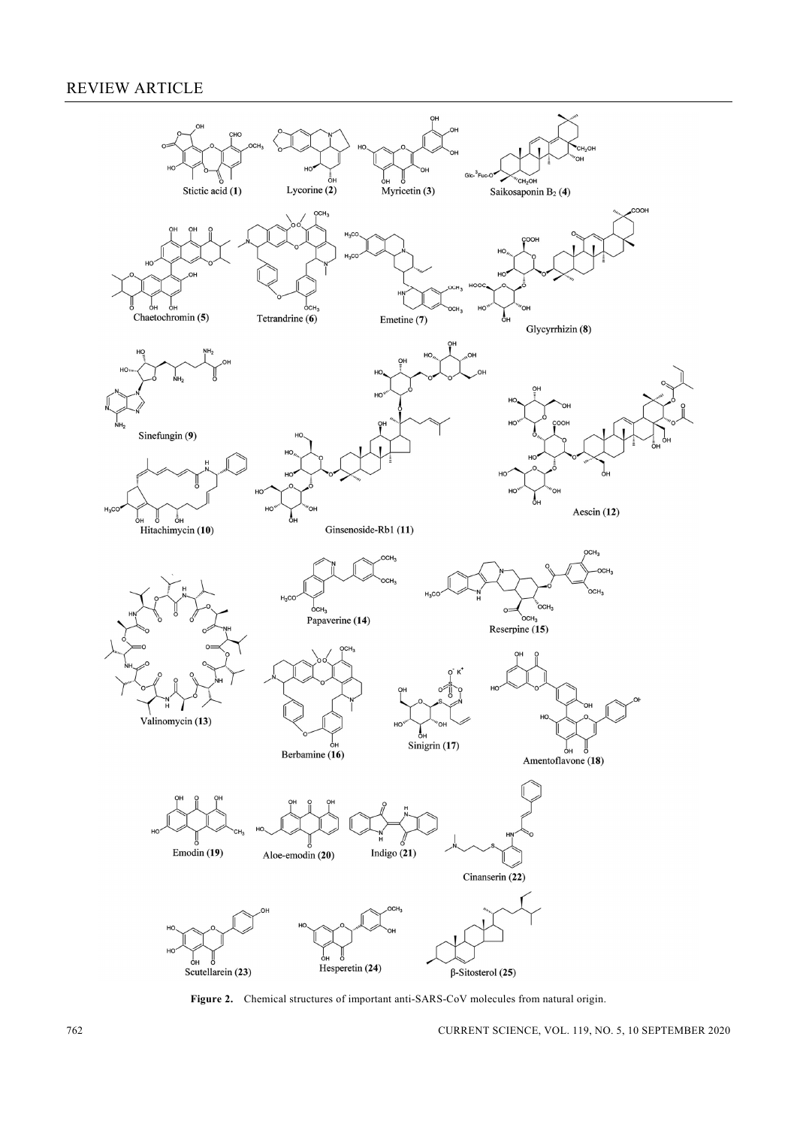

**Figure 2.** Chemical structures of important anti-SARS-CoV molecules from natural origin.

762 CURRENT SCIENCE, VOL. 119, NO. 5, 10 SEPTEMBER 2020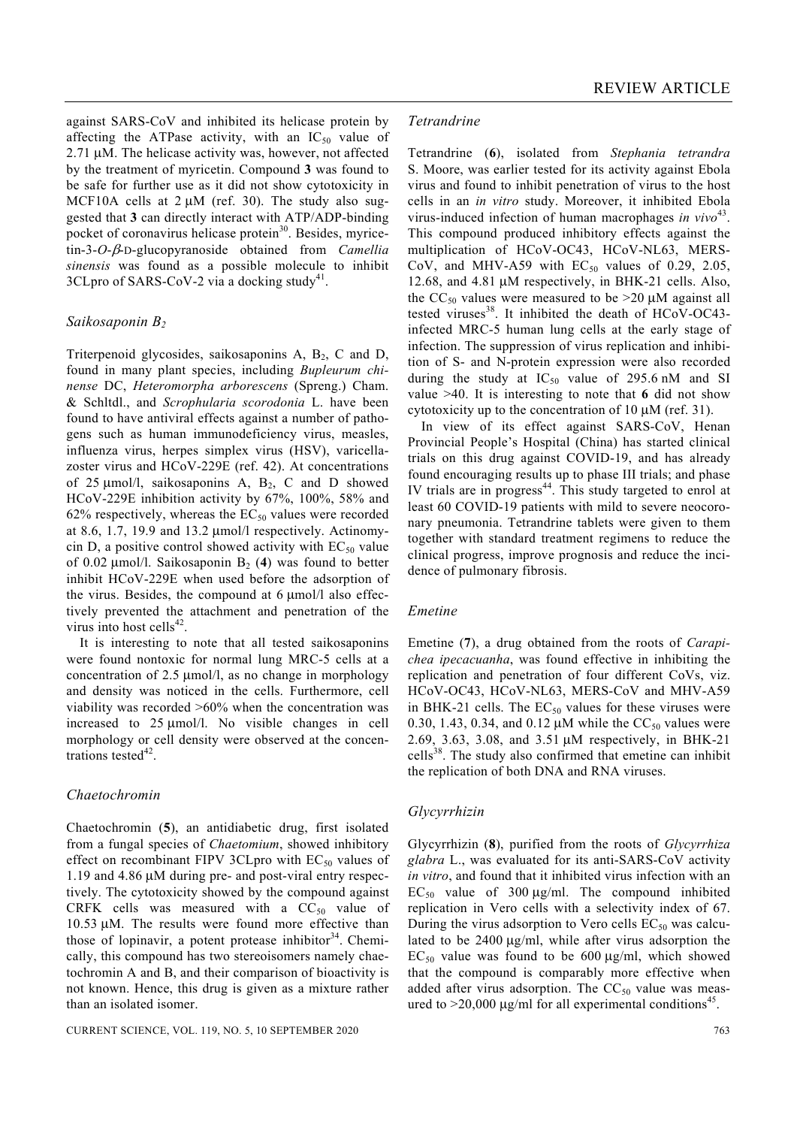against SARS-CoV and inhibited its helicase protein by affecting the ATPase activity, with an  $IC_{50}$  value of 2.71 μM. The helicase activity was, however, not affected by the treatment of myricetin. Compound **3** was found to be safe for further use as it did not show cytotoxicity in MCF10A cells at  $2 \mu M$  (ref. 30). The study also suggested that **3** can directly interact with ATP/ADP-binding pocket of coronavirus helicase protein $30$ . Besides, myricetin-3-*O*-β-D-glucopyranoside obtained from *Camellia sinensis* was found as a possible molecule to inhibit 3CLpro of SARS-CoV-2 via a docking study<sup>41</sup>.

# *Saikosaponin B2*

Triterpenoid glycosides, saikosaponins  $A$ ,  $B_2$ ,  $C$  and  $D$ , found in many plant species, including *Bupleurum chinense* DC, *Heteromorpha arborescens* (Spreng.) Cham. & Schltdl., and *Scrophularia scorodonia* L. have been found to have antiviral effects against a number of pathogens such as human immunodeficiency virus, measles, influenza virus, herpes simplex virus (HSV), varicellazoster virus and HCoV-229E (ref. 42). At concentrations of 25  $\mu$ mol/l, saikosaponins A, B<sub>2</sub>, C and D showed HCoV-229E inhibition activity by 67%, 100%, 58% and 62% respectively, whereas the  $EC_{50}$  values were recorded at 8.6, 1.7, 19.9 and 13.2 μmol/l respectively. Actinomycin D, a positive control showed activity with  $EC_{50}$  value of 0.02  $\mu$ mol/l. Saikosaponin B<sub>2</sub> (4) was found to better inhibit HCoV-229E when used before the adsorption of the virus. Besides, the compound at 6 μmol/l also effectively prevented the attachment and penetration of the virus into host cells $42$ .

 It is interesting to note that all tested saikosaponins were found nontoxic for normal lung MRC-5 cells at a concentration of 2.5 μmol/l, as no change in morphology and density was noticed in the cells. Furthermore, cell viability was recorded >60% when the concentration was increased to 25 μmol/l. No visible changes in cell morphology or cell density were observed at the concentrations tested $42$ .

#### *Chaetochromin*

Chaetochromin (**5**), an antidiabetic drug, first isolated from a fungal species of *Chaetomium*, showed inhibitory effect on recombinant FIPV 3CLpro with  $EC_{50}$  values of 1.19 and 4.86 μM during pre- and post-viral entry respectively. The cytotoxicity showed by the compound against CRFK cells was measured with a  $CC_{50}$  value of 10.53 μM. The results were found more effective than those of lopinavir, a potent protease inhibitor<sup>34</sup>. Chemically, this compound has two stereoisomers namely chaetochromin A and B, and their comparison of bioactivity is not known. Hence, this drug is given as a mixture rather than an isolated isomer.

#### *Tetrandrine*

Tetrandrine (**6**), isolated from *Stephania tetrandra* S. Moore, was earlier tested for its activity against Ebola virus and found to inhibit penetration of virus to the host cells in an *in vitro* study. Moreover, it inhibited Ebola virus-induced infection of human macrophages *in vivo*<sup>43</sup>. This compound produced inhibitory effects against the multiplication of HCoV-OC43, HCoV-NL63, MERS-CoV, and MHV-A59 with  $EC_{50}$  values of 0.29, 2.05, 12.68, and 4.81 μM respectively, in BHK-21 cells. Also, the  $CC_{50}$  values were measured to be  $>20 \mu M$  against all tested viruses<sup>38</sup>. It inhibited the death of HCoV-OC43infected MRC-5 human lung cells at the early stage of infection. The suppression of virus replication and inhibition of S- and N-protein expression were also recorded during the study at  $IC_{50}$  value of 295.6 nM and SI value >40. It is interesting to note that **6** did not show cytotoxicity up to the concentration of 10 μM (ref. 31).

 In view of its effect against SARS-CoV, Henan Provincial People's Hospital (China) has started clinical trials on this drug against COVID-19, and has already found encouraging results up to phase III trials; and phase IV trials are in progress $44$ . This study targeted to enrol at least 60 COVID-19 patients with mild to severe neocoronary pneumonia. Tetrandrine tablets were given to them together with standard treatment regimens to reduce the clinical progress, improve prognosis and reduce the incidence of pulmonary fibrosis.

#### *Emetine*

Emetine (**7**), a drug obtained from the roots of *Carapichea ipecacuanha*, was found effective in inhibiting the replication and penetration of four different CoVs, viz. HCoV-OC43, HCoV-NL63, MERS-CoV and MHV-A59 in BHK-21 cells. The  $EC_{50}$  values for these viruses were 0.30, 1.43, 0.34, and 0.12  $\mu$ M while the CC<sub>50</sub> values were 2.69, 3.63, 3.08, and 3.51 μM respectively, in BHK-21  $cells<sup>38</sup>$ . The study also confirmed that emetine can inhibit the replication of both DNA and RNA viruses.

#### *Glycyrrhizin*

Glycyrrhizin (**8**), purified from the roots of *Glycyrrhiza glabra* L., was evaluated for its anti-SARS-CoV activity *in vitro*, and found that it inhibited virus infection with an  $EC_{50}$  value of 300  $\mu$ g/ml. The compound inhibited replication in Vero cells with a selectivity index of 67. During the virus adsorption to Vero cells  $EC_{50}$  was calculated to be 2400 μg/ml, while after virus adsorption the  $EC_{50}$  value was found to be 600 μg/ml, which showed that the compound is comparably more effective when added after virus adsorption. The  $CC_{50}$  value was measured to  $>20,000 \mu g/ml$  for all experimental conditions<sup>45</sup>.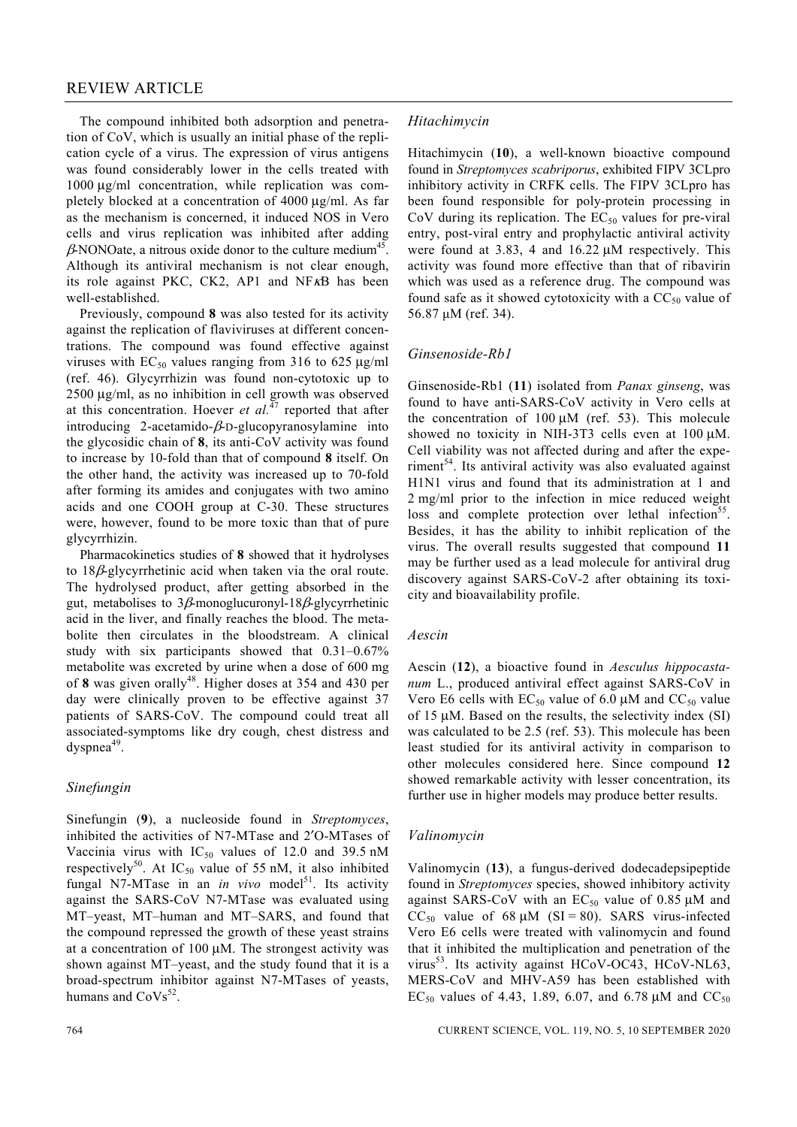The compound inhibited both adsorption and penetration of CoV, which is usually an initial phase of the replication cycle of a virus. The expression of virus antigens was found considerably lower in the cells treated with 1000 μg/ml concentration, while replication was completely blocked at a concentration of 4000 μg/ml. As far as the mechanism is concerned, it induced NOS in Vero cells and virus replication was inhibited after adding  $\beta$ NONOate, a nitrous oxide donor to the culture medium<sup>45</sup>. Although its antiviral mechanism is not clear enough, its role against PKC, CK2, AP1 and NFκB has been well-established.

 Previously, compound **8** was also tested for its activity against the replication of flaviviruses at different concentrations. The compound was found effective against viruses with  $EC_{50}$  values ranging from 316 to 625 μg/ml (ref. 46). Glycyrrhizin was found non-cytotoxic up to 2500 μg/ml, as no inhibition in cell growth was observed at this concentration. Hoever *et al.*47 reported that after introducing 2-acetamido- $\beta$ -D-glucopyranosylamine into the glycosidic chain of **8**, its anti-CoV activity was found to increase by 10-fold than that of compound **8** itself. On the other hand, the activity was increased up to 70-fold after forming its amides and conjugates with two amino acids and one COOH group at C-30. These structures were, however, found to be more toxic than that of pure glycyrrhizin.

 Pharmacokinetics studies of **8** showed that it hydrolyses to 18β-glycyrrhetinic acid when taken via the oral route. The hydrolysed product, after getting absorbed in the gut, metabolises to  $3\beta$ -monoglucuronyl-18 $\beta$ -glycyrrhetinic acid in the liver, and finally reaches the blood. The metabolite then circulates in the bloodstream. A clinical study with six participants showed that 0.31–0.67% metabolite was excreted by urine when a dose of 600 mg of 8 was given orally<sup>48</sup>. Higher doses at 354 and 430 per day were clinically proven to be effective against 37 patients of SARS-CoV. The compound could treat all associated-symptoms like dry cough, chest distress and  $dvspnea<sup>49</sup>$ .

# *Sinefungin*

Sinefungin (**9**), a nucleoside found in *Streptomyces*, inhibited the activities of N7-MTase and 2′O-MTases of Vaccinia virus with  $IC_{50}$  values of 12.0 and 39.5 nM respectively<sup>50</sup>. At IC<sub>50</sub> value of 55 nM, it also inhibited fungal N7-MTase in an *in vivo* model<sup>51</sup>. Its activity against the SARS-CoV N7-MTase was evaluated using MT–yeast, MT–human and MT–SARS, and found that the compound repressed the growth of these yeast strains at a concentration of  $100 \mu M$ . The strongest activity was shown against MT–yeast, and the study found that it is a broad-spectrum inhibitor against N7-MTases of yeasts, humans and  $\text{CoVs}^{52}$ .

# *Hitachimycin*

Hitachimycin (**10**), a well-known bioactive compound found in *Streptomyces scabriporus*, exhibited FIPV 3CLpro inhibitory activity in CRFK cells. The FIPV 3CLpro has been found responsible for poly-protein processing in CoV during its replication. The  $EC_{50}$  values for pre-viral entry, post-viral entry and prophylactic antiviral activity were found at 3.83, 4 and 16.22 μM respectively. This activity was found more effective than that of ribavirin which was used as a reference drug. The compound was found safe as it showed cytotoxicity with a  $CC_{50}$  value of 56.87 μM (ref. 34).

#### *Ginsenoside-Rb1*

Ginsenoside-Rb1 (**11**) isolated from *Panax ginseng*, was found to have anti-SARS-CoV activity in Vero cells at the concentration of  $100 \mu M$  (ref. 53). This molecule showed no toxicity in NIH-3T3 cells even at 100 μM. Cell viability was not affected during and after the experiment $54$ . Its antiviral activity was also evaluated against H1N1 virus and found that its administration at 1 and 2 mg/ml prior to the infection in mice reduced weight loss and complete protection over lethal infection<sup>55</sup>. Besides, it has the ability to inhibit replication of the virus. The overall results suggested that compound **11** may be further used as a lead molecule for antiviral drug discovery against SARS-CoV-2 after obtaining its toxicity and bioavailability profile.

#### *Aescin*

Aescin (**12**), a bioactive found in *Aesculus hippocastanum* L., produced antiviral effect against SARS-CoV in Vero E6 cells with  $EC_{50}$  value of 6.0  $\mu$ M and  $CC_{50}$  value of 15 μM. Based on the results, the selectivity index (SI) was calculated to be 2.5 (ref. 53). This molecule has been least studied for its antiviral activity in comparison to other molecules considered here. Since compound **12** showed remarkable activity with lesser concentration, its further use in higher models may produce better results.

#### *Valinomycin*

Valinomycin (**13**), a fungus-derived dodecadepsipeptide found in *Streptomyces* species, showed inhibitory activity against SARS-CoV with an  $EC_{50}$  value of 0.85  $\mu$ M and  $CC_{50}$  value of 68  $\mu$ M (SI = 80). SARS virus-infected Vero E6 cells were treated with valinomycin and found that it inhibited the multiplication and penetration of the virus<sup>53</sup>. Its activity against HCoV-OC43, HCoV-NL63, MERS-CoV and MHV-A59 has been established with EC<sub>50</sub> values of 4.43, 1.89, 6.07, and 6.78 μM and CC<sub>50</sub>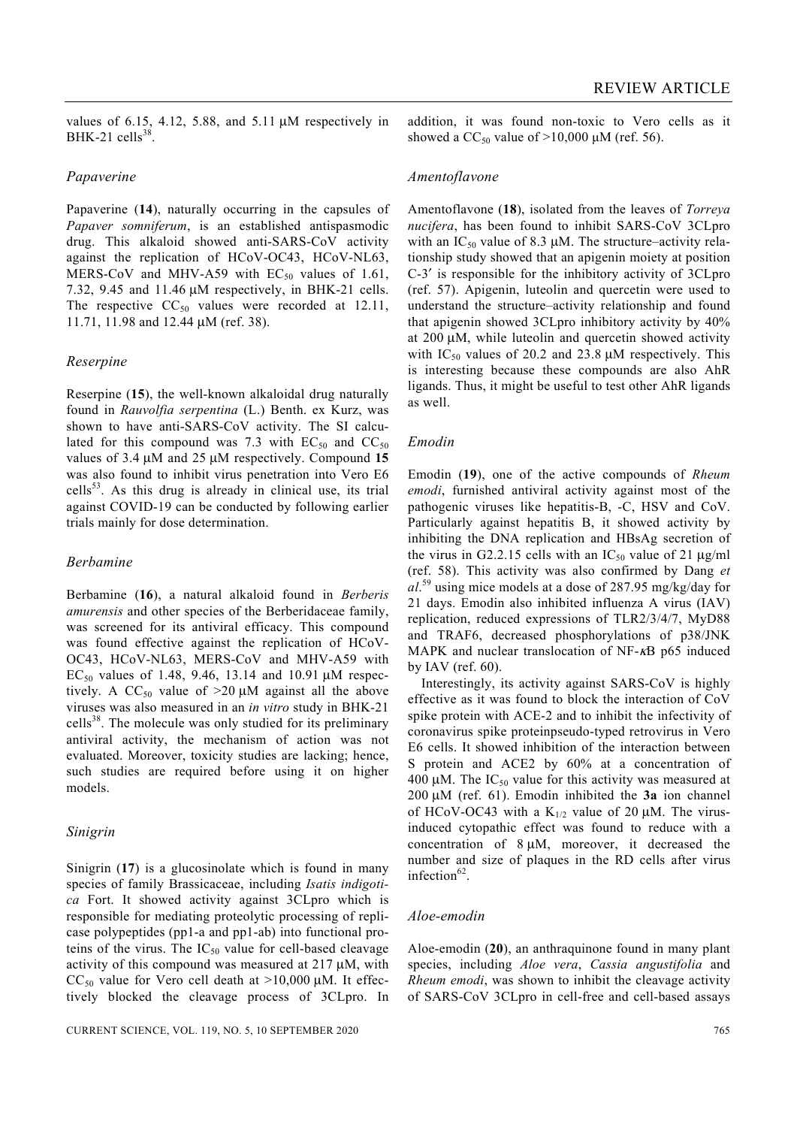values of 6.15, 4.12, 5.88, and 5.11  $\mu$ M respectively in BHK-21 cells $38$ .

#### *Papaverine*

Papaverine (**14**), naturally occurring in the capsules of *Papaver somniferum*, is an established antispasmodic drug. This alkaloid showed anti-SARS-CoV activity against the replication of HCoV-OC43, HCoV-NL63, MERS-CoV and MHV-A59 with  $EC_{50}$  values of 1.61, 7.32, 9.45 and 11.46 μM respectively, in BHK-21 cells. The respective  $CC_{50}$  values were recorded at 12.11, 11.71, 11.98 and 12.44 μM (ref. 38).

#### *Reserpine*

Reserpine (**15**), the well-known alkaloidal drug naturally found in *Rauvolfia serpentina* (L.) Benth. ex Kurz, was shown to have anti-SARS-CoV activity. The SI calculated for this compound was 7.3 with  $EC_{50}$  and  $CC_{50}$ values of 3.4 μM and 25 μM respectively. Compound **15** was also found to inhibit virus penetration into Vero E6  $cells<sup>53</sup>$ . As this drug is already in clinical use, its trial against COVID-19 can be conducted by following earlier trials mainly for dose determination.

#### *Berbamine*

Berbamine (**16**), a natural alkaloid found in *Berberis amurensis* and other species of the Berberidaceae family, was screened for its antiviral efficacy. This compound was found effective against the replication of HCoV-OC43, HCoV-NL63, MERS-CoV and MHV-A59 with EC<sub>50</sub> values of 1.48, 9.46, 13.14 and 10.91 μM respectively. A  $CC_{50}$  value of  $>20 \mu M$  against all the above viruses was also measured in an *in vitro* study in BHK-21 cells<sup>38</sup>. The molecule was only studied for its preliminary antiviral activity, the mechanism of action was not evaluated. Moreover, toxicity studies are lacking; hence, such studies are required before using it on higher models.

#### *Sinigrin*

Sinigrin (**17**) is a glucosinolate which is found in many species of family Brassicaceae, including *Isatis indigotica* Fort. It showed activity against 3CLpro which is responsible for mediating proteolytic processing of replicase polypeptides (pp1-a and pp1-ab) into functional proteins of the virus. The  $IC_{50}$  value for cell-based cleavage activity of this compound was measured at 217 μM, with CC<sub>50</sub> value for Vero cell death at  $>10,000$  uM. It effectively blocked the cleavage process of 3CLpro. In addition, it was found non-toxic to Vero cells as it showed a  $CC_{50}$  value of  $>10,000 \mu M$  (ref. 56).

#### *Amentoflavone*

Amentoflavone (**18**), isolated from the leaves of *Torreya nucifera*, has been found to inhibit SARS-CoV 3CLpro with an  $IC_{50}$  value of 8.3  $\mu$ M. The structure–activity relationship study showed that an apigenin moiety at position C-3′ is responsible for the inhibitory activity of 3CLpro (ref. 57). Apigenin, luteolin and quercetin were used to understand the structure–activity relationship and found that apigenin showed 3CLpro inhibitory activity by 40% at 200 μM, while luteolin and quercetin showed activity with  $IC_{50}$  values of 20.2 and 23.8  $\mu$ M respectively. This is interesting because these compounds are also AhR ligands. Thus, it might be useful to test other AhR ligands as well.

#### *Emodin*

Emodin (**19**), one of the active compounds of *Rheum emodi*, furnished antiviral activity against most of the pathogenic viruses like hepatitis-B, -C, HSV and CoV. Particularly against hepatitis B, it showed activity by inhibiting the DNA replication and HBsAg secretion of the virus in G2.2.15 cells with an  $IC_{50}$  value of 21  $\mu$ g/ml (ref. 58). This activity was also confirmed by Dang *et al*. 59 using mice models at a dose of 287.95 mg/kg/day for 21 days. Emodin also inhibited influenza A virus (IAV) replication, reduced expressions of TLR2/3/4/7, MyD88 and TRAF6, decreased phosphorylations of p38/JNK MAPK and nuclear translocation of NF-κB p65 induced by IAV (ref.  $60$ ).

 Interestingly, its activity against SARS-CoV is highly effective as it was found to block the interaction of CoV spike protein with ACE-2 and to inhibit the infectivity of coronavirus spike proteinpseudo-typed retrovirus in Vero E6 cells. It showed inhibition of the interaction between S protein and ACE2 by 60% at a concentration of 400 μM. The  $IC_{50}$  value for this activity was measured at 200 μM (ref. 61). Emodin inhibited the **3a** ion channel of HCoV-OC43 with a  $K_{1/2}$  value of 20  $\mu$ M. The virusinduced cytopathic effect was found to reduce with a concentration of 8 μM, moreover, it decreased the number and size of plaques in the RD cells after virus infection $62$ 

#### *Aloe-emodin*

Aloe-emodin (**20**), an anthraquinone found in many plant species, including *Aloe vera*, *Cassia angustifolia* and *Rheum emodi*, was shown to inhibit the cleavage activity of SARS-CoV 3CLpro in cell-free and cell-based assays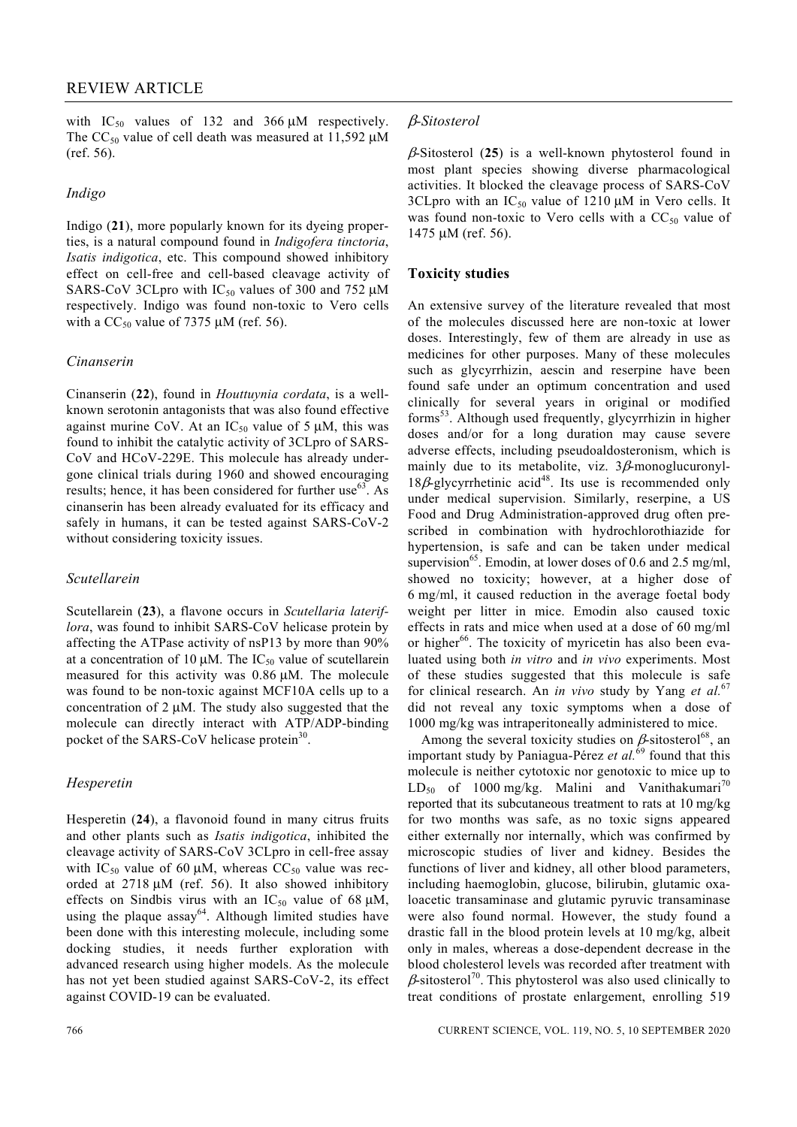with  $IC_{50}$  values of 132 and 366  $\mu$ M respectively. The  $CC_{50}$  value of cell death was measured at 11,592  $\mu$ M (ref. 56).

#### *Indigo*

Indigo (**21**), more popularly known for its dyeing properties, is a natural compound found in *Indigofera tinctoria*, *Isatis indigotica*, etc. This compound showed inhibitory effect on cell-free and cell-based cleavage activity of SARS-CoV 3CLpro with  $IC_{50}$  values of 300 and 752  $\mu$ M respectively. Indigo was found non-toxic to Vero cells with a  $CC_{50}$  value of 7375 μM (ref. 56).

#### *Cinanserin*

Cinanserin (**22**), found in *Houttuynia cordata*, is a wellknown serotonin antagonists that was also found effective against murine CoV. At an  $IC_{50}$  value of 5  $\mu$ M, this was found to inhibit the catalytic activity of 3CLpro of SARS-CoV and HCoV-229E. This molecule has already undergone clinical trials during 1960 and showed encouraging results; hence, it has been considered for further use $63$ . As cinanserin has been already evaluated for its efficacy and safely in humans, it can be tested against SARS-CoV-2 without considering toxicity issues.

# *Scutellarein*

Scutellarein (**23**), a flavone occurs in *Scutellaria lateriflora*, was found to inhibit SARS-CoV helicase protein by affecting the ATPase activity of nsP13 by more than 90% at a concentration of 10  $\mu$ M. The IC<sub>50</sub> value of scutellarein measured for this activity was 0.86 μM. The molecule was found to be non-toxic against MCF10A cells up to a concentration of 2 μM. The study also suggested that the molecule can directly interact with ATP/ADP-binding pocket of the SARS-CoV helicase protein<sup>30</sup>.

# *Hesperetin*

Hesperetin (**24**), a flavonoid found in many citrus fruits and other plants such as *Isatis indigotica*, inhibited the cleavage activity of SARS-CoV 3CLpro in cell-free assay with IC<sub>50</sub> value of 60  $\mu$ M, whereas CC<sub>50</sub> value was recorded at 2718 μM (ref. 56). It also showed inhibitory effects on Sindbis virus with an  $IC_{50}$  value of 68  $\mu$ M, using the plaque  $assay^{64}$ . Although limited studies have been done with this interesting molecule, including some docking studies, it needs further exploration with advanced research using higher models. As the molecule has not yet been studied against SARS-CoV-2, its effect against COVID-19 can be evaluated.

β-Sitosterol (**25**) is a well-known phytosterol found in most plant species showing diverse pharmacological activities. It blocked the cleavage process of SARS-CoV 3CLpro with an  $IC_{50}$  value of 1210 μM in Vero cells. It was found non-toxic to Vero cells with a  $CC_{50}$  value of 1475 μM (ref. 56).

# **Toxicity studies**

An extensive survey of the literature revealed that most of the molecules discussed here are non-toxic at lower doses. Interestingly, few of them are already in use as medicines for other purposes. Many of these molecules such as glycyrrhizin, aescin and reserpine have been found safe under an optimum concentration and used clinically for several years in original or modified forms53. Although used frequently, glycyrrhizin in higher doses and/or for a long duration may cause severe adverse effects, including pseudoaldosteronism, which is mainly due to its metabolite, viz.  $3\beta$ -monoglucuronyl- $18\beta$ -glycyrrhetinic acid<sup>48</sup>. Its use is recommended only under medical supervision. Similarly, reserpine, a US Food and Drug Administration-approved drug often prescribed in combination with hydrochlorothiazide for hypertension, is safe and can be taken under medical supervision<sup>65</sup>. Emodin, at lower doses of 0.6 and 2.5 mg/ml, showed no toxicity; however, at a higher dose of 6 mg/ml, it caused reduction in the average foetal body weight per litter in mice. Emodin also caused toxic effects in rats and mice when used at a dose of 60 mg/ml or higher<sup>66</sup>. The toxicity of myricetin has also been evaluated using both *in vitro* and *in vivo* experiments. Most of these studies suggested that this molecule is safe for clinical research. An *in vivo* study by Yang *et al.*67 did not reveal any toxic symptoms when a dose of 1000 mg/kg was intraperitoneally administered to mice.

Among the several toxicity studies on  $\beta$ -sitosterol<sup>68</sup>, an important study by Paniagua-Pérez *et al.*69 found that this molecule is neither cytotoxic nor genotoxic to mice up to  $LD_{50}$  of 1000 mg/kg. Malini and Vanithakumari<sup>70</sup> reported that its subcutaneous treatment to rats at 10 mg/kg for two months was safe, as no toxic signs appeared either externally nor internally, which was confirmed by microscopic studies of liver and kidney. Besides the functions of liver and kidney, all other blood parameters, including haemoglobin, glucose, bilirubin, glutamic oxaloacetic transaminase and glutamic pyruvic transaminase were also found normal. However, the study found a drastic fall in the blood protein levels at 10 mg/kg, albeit only in males, whereas a dose-dependent decrease in the blood cholesterol levels was recorded after treatment with  $\beta$ -sitosterol<sup>70</sup>. This phytosterol was also used clinically to treat conditions of prostate enlargement, enrolling 519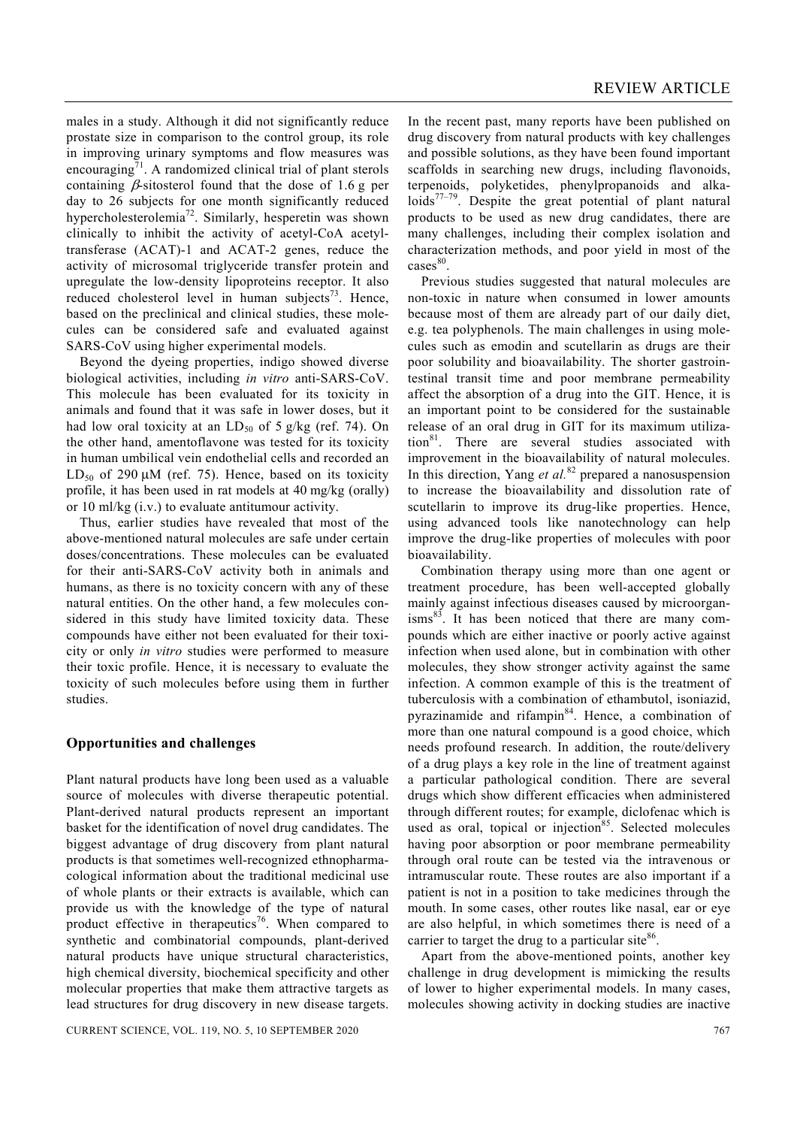males in a study. Although it did not significantly reduce prostate size in comparison to the control group, its role in improving urinary symptoms and flow measures was encouraging<sup>71</sup>. A randomized clinical trial of plant sterols containing  $\beta$ -sitosterol found that the dose of 1.6 g per day to 26 subjects for one month significantly reduced hypercholesterolemia72. Similarly, hesperetin was shown clinically to inhibit the activity of acetyl-CoA acetyltransferase (ACAT)-1 and ACAT-2 genes, reduce the activity of microsomal triglyceride transfer protein and upregulate the low-density lipoproteins receptor. It also reduced cholesterol level in human subjects $3$ . Hence, based on the preclinical and clinical studies, these molecules can be considered safe and evaluated against SARS-CoV using higher experimental models.

 Beyond the dyeing properties, indigo showed diverse biological activities, including *in vitro* anti-SARS-CoV. This molecule has been evaluated for its toxicity in animals and found that it was safe in lower doses, but it had low oral toxicity at an  $LD_{50}$  of 5 g/kg (ref. 74). On the other hand, amentoflavone was tested for its toxicity in human umbilical vein endothelial cells and recorded an LD<sub>50</sub> of 290  $\mu$ M (ref. 75). Hence, based on its toxicity profile, it has been used in rat models at 40 mg/kg (orally) or 10 ml/kg (i.v.) to evaluate antitumour activity.

 Thus, earlier studies have revealed that most of the above-mentioned natural molecules are safe under certain doses/concentrations. These molecules can be evaluated for their anti-SARS-CoV activity both in animals and humans, as there is no toxicity concern with any of these natural entities. On the other hand, a few molecules considered in this study have limited toxicity data. These compounds have either not been evaluated for their toxicity or only *in vitro* studies were performed to measure their toxic profile. Hence, it is necessary to evaluate the toxicity of such molecules before using them in further studies.

# **Opportunities and challenges**

Plant natural products have long been used as a valuable source of molecules with diverse therapeutic potential. Plant-derived natural products represent an important basket for the identification of novel drug candidates. The biggest advantage of drug discovery from plant natural products is that sometimes well-recognized ethnopharmacological information about the traditional medicinal use of whole plants or their extracts is available, which can provide us with the knowledge of the type of natural product effective in therapeutics<sup>76</sup>. When compared to synthetic and combinatorial compounds, plant-derived natural products have unique structural characteristics, high chemical diversity, biochemical specificity and other molecular properties that make them attractive targets as lead structures for drug discovery in new disease targets.

CURRENT SCIENCE, VOL. 119, NO. 5, 10 SEPTEMBER 2020 767

In the recent past, many reports have been published on drug discovery from natural products with key challenges and possible solutions, as they have been found important scaffolds in searching new drugs, including flavonoids, terpenoids, polyketides, phenylpropanoids and alkaloids $77-79$ . Despite the great potential of plant natural products to be used as new drug candidates, there are many challenges, including their complex isolation and characterization methods, and poor yield in most of the cases<sup>80</sup>.

 Previous studies suggested that natural molecules are non-toxic in nature when consumed in lower amounts because most of them are already part of our daily diet, e.g. tea polyphenols. The main challenges in using molecules such as emodin and scutellarin as drugs are their poor solubility and bioavailability. The shorter gastrointestinal transit time and poor membrane permeability affect the absorption of a drug into the GIT. Hence, it is an important point to be considered for the sustainable release of an oral drug in GIT for its maximum utilization<sup>81</sup>. There are several studies associated with improvement in the bioavailability of natural molecules. In this direction, Yang *et al.*82 prepared a nanosuspension to increase the bioavailability and dissolution rate of scutellarin to improve its drug-like properties. Hence, using advanced tools like nanotechnology can help improve the drug-like properties of molecules with poor bioavailability.

 Combination therapy using more than one agent or treatment procedure, has been well-accepted globally mainly against infectious diseases caused by microorgan $i$ sms $^{83}$ . It has been noticed that there are many compounds which are either inactive or poorly active against infection when used alone, but in combination with other molecules, they show stronger activity against the same infection. A common example of this is the treatment of tuberculosis with a combination of ethambutol, isoniazid, pyrazinamide and rifampin<sup>84</sup>. Hence, a combination of more than one natural compound is a good choice, which needs profound research. In addition, the route/delivery of a drug plays a key role in the line of treatment against a particular pathological condition. There are several drugs which show different efficacies when administered through different routes; for example, diclofenac which is used as oral, topical or injection $85$ . Selected molecules having poor absorption or poor membrane permeability through oral route can be tested via the intravenous or intramuscular route. These routes are also important if a patient is not in a position to take medicines through the mouth. In some cases, other routes like nasal, ear or eye are also helpful, in which sometimes there is need of a carrier to target the drug to a particular site $86$ .

 Apart from the above-mentioned points, another key challenge in drug development is mimicking the results of lower to higher experimental models. In many cases, molecules showing activity in docking studies are inactive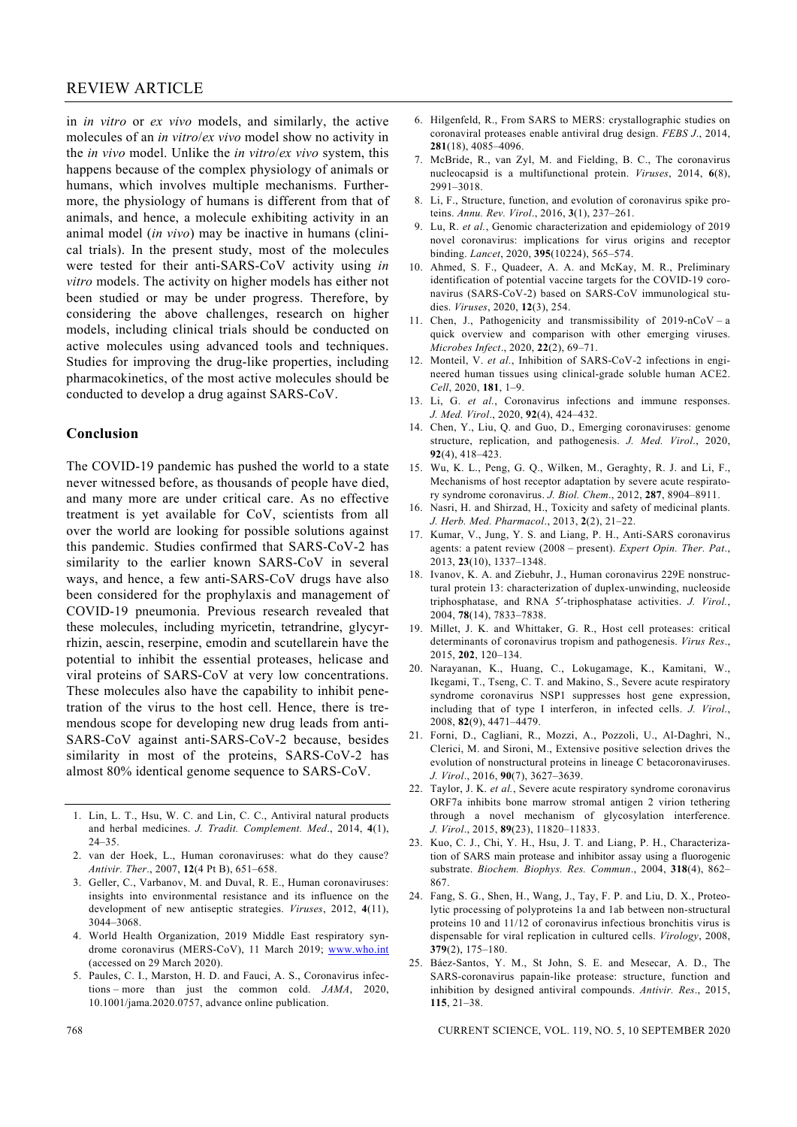in *in vitro* or *ex vivo* models, and similarly, the active molecules of an *in vitro*/*ex vivo* model show no activity in the *in vivo* model. Unlike the *in vitro*/*ex vivo* system, this happens because of the complex physiology of animals or humans, which involves multiple mechanisms. Furthermore, the physiology of humans is different from that of animals, and hence, a molecule exhibiting activity in an animal model (*in vivo*) may be inactive in humans (clinical trials). In the present study, most of the molecules were tested for their anti-SARS-CoV activity using *in vitro* models. The activity on higher models has either not been studied or may be under progress. Therefore, by considering the above challenges, research on higher models, including clinical trials should be conducted on active molecules using advanced tools and techniques. Studies for improving the drug-like properties, including pharmacokinetics, of the most active molecules should be conducted to develop a drug against SARS-CoV.

# **Conclusion**

The COVID-19 pandemic has pushed the world to a state never witnessed before, as thousands of people have died, and many more are under critical care. As no effective treatment is yet available for CoV, scientists from all over the world are looking for possible solutions against this pandemic. Studies confirmed that SARS-CoV-2 has similarity to the earlier known SARS-CoV in several ways, and hence, a few anti-SARS-CoV drugs have also been considered for the prophylaxis and management of COVID-19 pneumonia. Previous research revealed that these molecules, including myricetin, tetrandrine, glycyrrhizin, aescin, reserpine, emodin and scutellarein have the potential to inhibit the essential proteases, helicase and viral proteins of SARS-CoV at very low concentrations. These molecules also have the capability to inhibit penetration of the virus to the host cell. Hence, there is tremendous scope for developing new drug leads from anti-SARS-CoV against anti-SARS-CoV-2 because, besides similarity in most of the proteins, SARS-CoV-2 has almost 80% identical genome sequence to SARS-CoV.

- 1. Lin, L. T., Hsu, W. C. and Lin, C. C., Antiviral natural products and herbal medicines. *J. Tradit. Complement. Med*., 2014, **4**(1), 24–35.
- 2. van der Hoek, L., Human coronaviruses: what do they cause? *Antivir. Ther*., 2007, **12**(4 Pt B), 651–658.
- 3. Geller, C., Varbanov, M. and Duval, R. E., Human coronaviruses: insights into environmental resistance and its influence on the development of new antiseptic strategies. *Viruses*, 2012, **4**(11), 3044–3068.
- 4. World Health Organization, 2019 Middle East respiratory syndrome coronavirus (MERS-CoV), 11 March 2019; www.who.int (accessed on 29 March 2020).
- 5. Paules, C. I., Marston, H. D. and Fauci, A. S., Coronavirus infections – more than just the common cold. *JAMA*, 2020, 10.1001/jama.2020.0757, advance online publication.
- 6. Hilgenfeld, R., From SARS to MERS: crystallographic studies on coronaviral proteases enable antiviral drug design. *FEBS J*., 2014, **281**(18), 4085–4096.
- 7. McBride, R., van Zyl, M. and Fielding, B. C., The coronavirus nucleocapsid is a multifunctional protein. *Viruses*, 2014, **6**(8), 2991–3018.
- 8. Li, F., Structure, function, and evolution of coronavirus spike proteins. *Annu. Rev. Virol*., 2016, **3**(1), 237–261.
- 9. Lu, R. *et al.*, Genomic characterization and epidemiology of 2019 novel coronavirus: implications for virus origins and receptor binding. *Lancet*, 2020, **395**(10224), 565–574.
- 10. Ahmed, S. F., Quadeer, A. A. and McKay, M. R., Preliminary identification of potential vaccine targets for the COVID-19 coronavirus (SARS-CoV-2) based on SARS-CoV immunological studies. *Viruses*, 2020, **12**(3), 254.
- 11. Chen, J., Pathogenicity and transmissibility of 2019-nCoV a quick overview and comparison with other emerging viruses. *Microbes Infect*., 2020, **22**(2), 69–71.
- 12. Monteil, V. *et al.*, Inhibition of SARS-CoV-2 infections in engineered human tissues using clinical-grade soluble human ACE2. *Cell*, 2020, **181**, 1–9.
- 13. Li, G. *et al.*, Coronavirus infections and immune responses. *J. Med. Virol*., 2020, **92**(4), 424–432.
- 14. Chen, Y., Liu, Q. and Guo, D., Emerging coronaviruses: genome structure, replication, and pathogenesis. *J. Med. Virol*., 2020, **92**(4), 418–423.
- 15. Wu, K. L., Peng, G. Q., Wilken, M., Geraghty, R. J. and Li, F., Mechanisms of host receptor adaptation by severe acute respiratory syndrome coronavirus. *J. Biol. Chem*., 2012, **287**, 8904–8911.
- 16. Nasri, H. and Shirzad, H., Toxicity and safety of medicinal plants. *J. Herb. Med. Pharmacol*., 2013, **2**(2), 21–22.
- 17. Kumar, V., Jung, Y. S. and Liang, P. H., Anti-SARS coronavirus agents: a patent review (2008 – present). *Expert Opin. Ther. Pat*., 2013, **23**(10), 1337–1348.
- 18. Ivanov, K. A. and Ziebuhr, J., Human coronavirus 229E nonstructural protein 13: characterization of duplex-unwinding, nucleoside triphosphatase, and RNA 5′-triphosphatase activities. *J. Virol.*, 2004, **78**(14), 7833–7838.
- 19. Millet, J. K. and Whittaker, G. R., Host cell proteases: critical determinants of coronavirus tropism and pathogenesis. *Virus Res*., 2015, **202**, 120–134.
- 20. Narayanan, K., Huang, C., Lokugamage, K., Kamitani, W., Ikegami, T., Tseng, C. T. and Makino, S., Severe acute respiratory syndrome coronavirus NSP1 suppresses host gene expression, including that of type I interferon, in infected cells. *J. Virol*., 2008, **82**(9), 4471–4479.
- 21. Forni, D., Cagliani, R., Mozzi, A., Pozzoli, U., Al-Daghri, N., Clerici, M. and Sironi, M., Extensive positive selection drives the evolution of nonstructural proteins in lineage C betacoronaviruses. *J. Virol*., 2016, **90**(7), 3627–3639.
- 22. Taylor, J. K. *et al.*, Severe acute respiratory syndrome coronavirus ORF7a inhibits bone marrow stromal antigen 2 virion tethering through a novel mechanism of glycosylation interference. *J. Virol*., 2015, **89**(23), 11820–11833.
- 23. Kuo, C. J., Chi, Y. H., Hsu, J. T. and Liang, P. H., Characterization of SARS main protease and inhibitor assay using a fluorogenic substrate. *Biochem. Biophys. Res. Commun*., 2004, **318**(4), 862– 867.
- 24. Fang, S. G., Shen, H., Wang, J., Tay, F. P. and Liu, D. X., Proteolytic processing of polyproteins 1a and 1ab between non-structural proteins 10 and 11/12 of coronavirus infectious bronchitis virus is dispensable for viral replication in cultured cells. *Virology*, 2008, **379**(2), 175–180.
- 25. Báez-Santos, Y. M., St John, S. E. and Mesecar, A. D., The SARS-coronavirus papain-like protease: structure, function and inhibition by designed antiviral compounds. *Antivir. Res*., 2015, **115**, 21–38.

768 CURRENT SCIENCE, VOL. 119, NO. 5, 10 SEPTEMBER 2020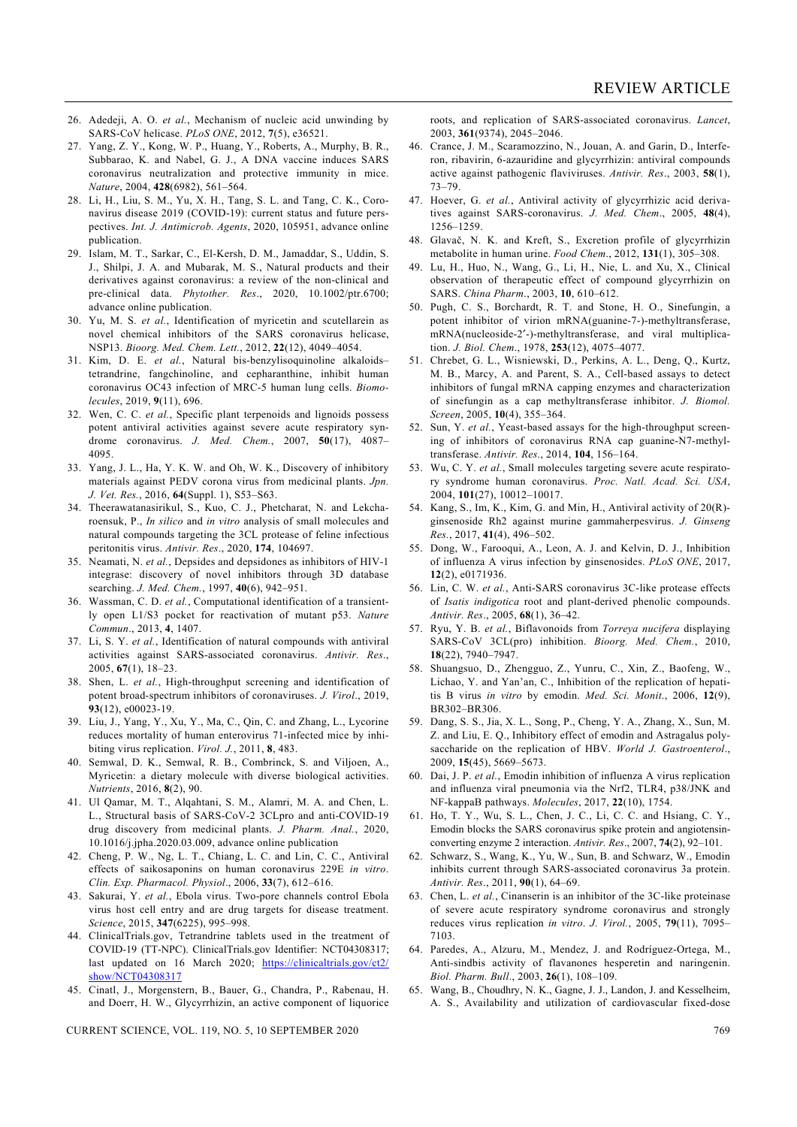- 26. Adedeji, A. O. *et al.*, Mechanism of nucleic acid unwinding by SARS-CoV helicase. *PLoS ONE*, 2012, **7**(5), e36521.
- 27. Yang, Z. Y., Kong, W. P., Huang, Y., Roberts, A., Murphy, B. R., Subbarao, K. and Nabel, G. J., A DNA vaccine induces SARS coronavirus neutralization and protective immunity in mice. *Nature*, 2004, **428**(6982), 561–564.
- 28. Li, H., Liu, S. M., Yu, X. H., Tang, S. L. and Tang, C. K., Coronavirus disease 2019 (COVID-19): current status and future perspectives. *Int. J. Antimicrob. Agents*, 2020, 105951, advance online publication.
- 29. Islam, M. T., Sarkar, C., El-Kersh, D. M., Jamaddar, S., Uddin, S. J., Shilpi, J. A. and Mubarak, M. S., Natural products and their derivatives against coronavirus: a review of the non-clinical and pre-clinical data. *Phytother. Res*., 2020, 10.1002/ptr.6700; advance online publication.
- 30. Yu, M. S. *et al.*, Identification of myricetin and scutellarein as novel chemical inhibitors of the SARS coronavirus helicase, NSP13. *Bioorg. Med. Chem. Lett.*, 2012, **22**(12), 4049–4054.
- 31. Kim, D. E. *et al.*, Natural bis-benzylisoquinoline alkaloids– tetrandrine, fangchinoline, and cepharanthine, inhibit human coronavirus OC43 infection of MRC-5 human lung cells. *Biomolecules*, 2019, **9**(11), 696.
- 32. Wen, C. C. *et al.*, Specific plant terpenoids and lignoids possess potent antiviral activities against severe acute respiratory syndrome coronavirus. *J. Med. Chem.*, 2007, **50**(17), 4087– 4095.
- 33. Yang, J. L., Ha, Y. K. W. and Oh, W. K., Discovery of inhibitory materials against PEDV corona virus from medicinal plants. *Jpn. J. Vet. Res.*, 2016, **64**(Suppl. 1), S53–S63.
- 34. Theerawatanasirikul, S., Kuo, C. J., Phetcharat, N. and Lekcharoensuk, P., *In silico* and *in vitro* analysis of small molecules and natural compounds targeting the 3CL protease of feline infectious peritonitis virus. *Antivir. Res*., 2020, **174**, 104697.
- 35. Neamati, N. *et al.*, Depsides and depsidones as inhibitors of HIV-1 integrase: discovery of novel inhibitors through 3D database searching. *J. Med. Chem.*, 1997, **40**(6), 942–951.
- 36. Wassman, C. D. *et al.*, Computational identification of a transiently open L1/S3 pocket for reactivation of mutant p53. *Nature Commun*., 2013, **4**, 1407.
- 37. Li, S. Y. *et al.*, Identification of natural compounds with antiviral activities against SARS-associated coronavirus. *Antivir. Res*., 2005, **67**(1), 18–23.
- 38. Shen, L. *et al.*, High-throughput screening and identification of potent broad-spectrum inhibitors of coronaviruses. *J. Virol*., 2019, **93**(12), e00023-19.
- 39. Liu, J., Yang, Y., Xu, Y., Ma, C., Qin, C. and Zhang, L., Lycorine reduces mortality of human enterovirus 71-infected mice by inhibiting virus replication. *Virol. J.*, 2011, **8**, 483.
- 40. Semwal, D. K., Semwal, R. B., Combrinck, S. and Viljoen, A., Myricetin: a dietary molecule with diverse biological activities. *Nutrients*, 2016, **8**(2), 90.
- 41. Ul Qamar, M. T., Alqahtani, S. M., Alamri, M. A. and Chen, L. L., Structural basis of SARS-CoV-2 3CLpro and anti-COVID-19 drug discovery from medicinal plants. *J. Pharm. Anal.*, 2020, 10.1016/j.jpha.2020.03.009, advance online publication
- 42. Cheng, P. W., Ng, L. T., Chiang, L. C. and Lin, C. C., Antiviral effects of saikosaponins on human coronavirus 229E *in vitro*. *Clin. Exp. Pharmacol. Physiol*., 2006, **33**(7), 612–616.
- 43. Sakurai, Y. *et al.*, Ebola virus. Two-pore channels control Ebola virus host cell entry and are drug targets for disease treatment. *Science*, 2015, **347**(6225), 995–998.
- 44. ClinicalTrials.gov, Tetrandrine tablets used in the treatment of COVID-19 (TT-NPC). ClinicalTrials.gov Identifier: NCT04308317; last updated on 16 March 2020; https://clinicaltrials.gov/ct2/ show/NCT04308317
- 45. Cinatl, J., Morgenstern, B., Bauer, G., Chandra, P., Rabenau, H. and Doerr, H. W., Glycyrrhizin, an active component of liquorice

CURRENT SCIENCE, VOL. 119, NO. 5, 10 SEPTEMBER 2020 769

roots, and replication of SARS-associated coronavirus. *Lancet*, 2003, **361**(9374), 2045–2046.

- 46. Crance, J. M., Scaramozzino, N., Jouan, A. and Garin, D., Interferon, ribavirin, 6-azauridine and glycyrrhizin: antiviral compounds active against pathogenic flaviviruses. *Antivir. Res*., 2003, **58**(1), 73–79.
- 47. Hoever, G. *et al.*, Antiviral activity of glycyrrhizic acid derivatives against SARS-coronavirus. *J. Med. Chem*., 2005, **48**(4), 1256–1259.
- 48. Glavač, N. K. and Kreft, S., Excretion profile of glycyrrhizin metabolite in human urine. *Food Chem*., 2012, **131**(1), 305–308.
- 49. Lu, H., Huo, N., Wang, G., Li, H., Nie, L. and Xu, X., Clinical observation of therapeutic effect of compound glycyrrhizin on SARS. *China Pharm*., 2003, **10**, 610–612.
- 50. Pugh, C. S., Borchardt, R. T. and Stone, H. O., Sinefungin, a potent inhibitor of virion mRNA(guanine-7-)-methyltransferase, mRNA(nucleoside-2′-)-methyltransferase, and viral multiplication. *J. Biol. Chem*., 1978, **253**(12), 4075–4077.
- 51. Chrebet, G. L., Wisniewski, D., Perkins, A. L., Deng, Q., Kurtz, M. B., Marcy, A. and Parent, S. A., Cell-based assays to detect inhibitors of fungal mRNA capping enzymes and characterization of sinefungin as a cap methyltransferase inhibitor. *J. Biomol. Screen*, 2005, **10**(4), 355–364.
- 52. Sun, Y. *et al.*, Yeast-based assays for the high-throughput screening of inhibitors of coronavirus RNA cap guanine-N7-methyltransferase. *Antivir. Res*., 2014, **104**, 156–164.
- 53. Wu, C. Y. *et al.*, Small molecules targeting severe acute respiratory syndrome human coronavirus. *Proc. Natl. Acad. Sci. USA*, 2004, **101**(27), 10012–10017.
- 54. Kang, S., Im, K., Kim, G. and Min, H., Antiviral activity of 20(R) ginsenoside Rh2 against murine gammaherpesvirus. *J. Ginseng Res.*, 2017, **41**(4), 496–502.
- 55. Dong, W., Farooqui, A., Leon, A. J. and Kelvin, D. J., Inhibition of influenza A virus infection by ginsenosides. *PLoS ONE*, 2017, **12**(2), e0171936.
- 56. Lin, C. W. *et al.*, Anti-SARS coronavirus 3C-like protease effects of *Isatis indigotica* root and plant-derived phenolic compounds. *Antivir. Res*., 2005, **68**(1), 36–42.
- 57. Ryu, Y. B. *et al.*, Biflavonoids from *Torreya nucifera* displaying SARS-CoV 3CL(pro) inhibition. *Bioorg. Med. Chem.*, 2010, **18**(22), 7940–7947.
- 58. Shuangsuo, D., Zhengguo, Z., Yunru, C., Xin, Z., Baofeng, W., Lichao, Y. and Yan'an, C., Inhibition of the replication of hepatitis B virus *in vitro* by emodin. *Med. Sci. Monit*., 2006, **12**(9), BR302–BR306.
- 59. Dang, S. S., Jia, X. L., Song, P., Cheng, Y. A., Zhang, X., Sun, M. Z. and Liu, E. Q., Inhibitory effect of emodin and Astragalus polysaccharide on the replication of HBV. *World J. Gastroenterol*., 2009, **15**(45), 5669–5673.
- 60. Dai, J. P. *et al.*, Emodin inhibition of influenza A virus replication and influenza viral pneumonia via the Nrf2, TLR4, p38/JNK and NF-kappaB pathways. *Molecules*, 2017, **22**(10), 1754.
- 61. Ho, T. Y., Wu, S. L., Chen, J. C., Li, C. C. and Hsiang, C. Y., Emodin blocks the SARS coronavirus spike protein and angiotensinconverting enzyme 2 interaction. *Antivir. Res*., 2007, **74**(2), 92–101.
- 62. Schwarz, S., Wang, K., Yu, W., Sun, B. and Schwarz, W., Emodin inhibits current through SARS-associated coronavirus 3a protein. *Antivir. Res*., 2011, **90**(1), 64–69.
- 63. Chen, L. *et al.*, Cinanserin is an inhibitor of the 3C-like proteinase of severe acute respiratory syndrome coronavirus and strongly reduces virus replication *in vitro*. *J. Virol.*, 2005, **79**(11), 7095– 7103.
- 64. Paredes, A., Alzuru, M., Mendez, J. and Rodríguez-Ortega, M., Anti-sindbis activity of flavanones hesperetin and naringenin. *Biol. Pharm. Bull*., 2003, **26**(1), 108–109.
- 65. Wang, B., Choudhry, N. K., Gagne, J. J., Landon, J. and Kesselheim, A. S., Availability and utilization of cardiovascular fixed-dose